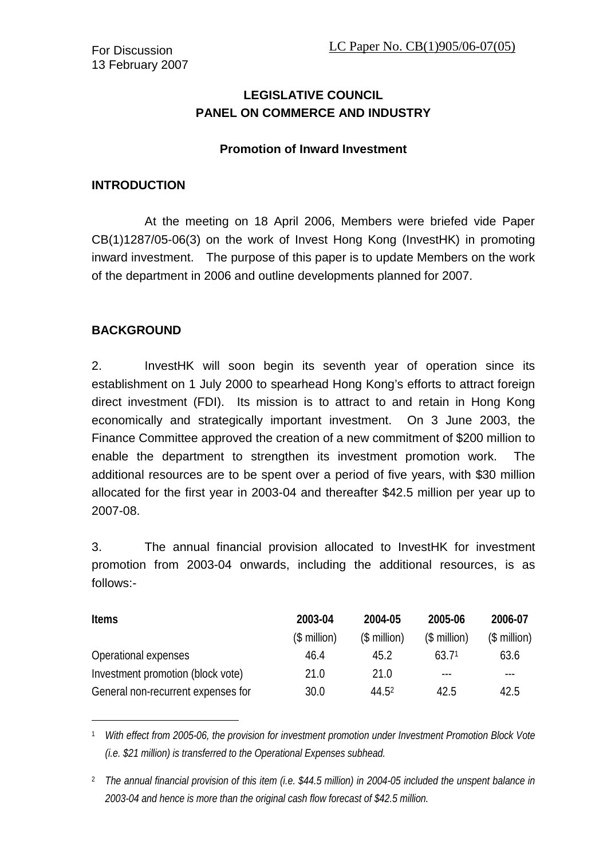# **LEGISLATIVE COUNCIL PANEL ON COMMERCE AND INDUSTRY**

#### **Promotion of Inward Investment**

#### **INTRODUCTION**

 At the meeting on 18 April 2006, Members were briefed vide Paper CB(1)1287/05-06(3) on the work of Invest Hong Kong (InvestHK) in promoting inward investment. The purpose of this paper is to update Members on the work of the department in 2006 and outline developments planned for 2007.

### **BACKGROUND**

l

2. InvestHK will soon begin its seventh year of operation since its establishment on 1 July 2000 to spearhead Hong Kong's efforts to attract foreign direct investment (FDI). Its mission is to attract to and retain in Hong Kong economically and strategically important investment. On 3 June 2003, the Finance Committee approved the creation of a new commitment of \$200 million to enable the department to strengthen its investment promotion work. The additional resources are to be spent over a period of five years, with \$30 million allocated for the first year in 2003-04 and thereafter \$42.5 million per year up to 2007-08.

3. The annual financial provision allocated to InvestHK for investment promotion from 2003-04 onwards, including the additional resources, is as follows:-

| <b>Items</b>                       | 2003-04       | 2004-05      | 2005-06           | 2006-07      |
|------------------------------------|---------------|--------------|-------------------|--------------|
|                                    | $($$ million) | $$$ million) | $($$ million)     | $$$ million) |
| Operational expenses               | 46.4          | 45.2         | 63.7 <sup>1</sup> | 63.6         |
| Investment promotion (block vote)  | 21.0          | 21.0         | $\frac{1}{2}$     | ---          |
| General non-recurrent expenses for | 30.0          | 44.52        | 42.5              | 42.5         |

<span id="page-0-0"></span>1 *With effect from 2005-06, the provision for investment promotion under Investment Promotion Block Vote (i.e. \$21 million) is transferred to the Operational Expenses subhead.*

<span id="page-0-1"></span>2 *The annual financial provision of this item (i.e. \$44.5 million) in 2004-05 included the unspent balance in 2003-04 and hence is more than the original cash flow forecast of \$42.5 million.*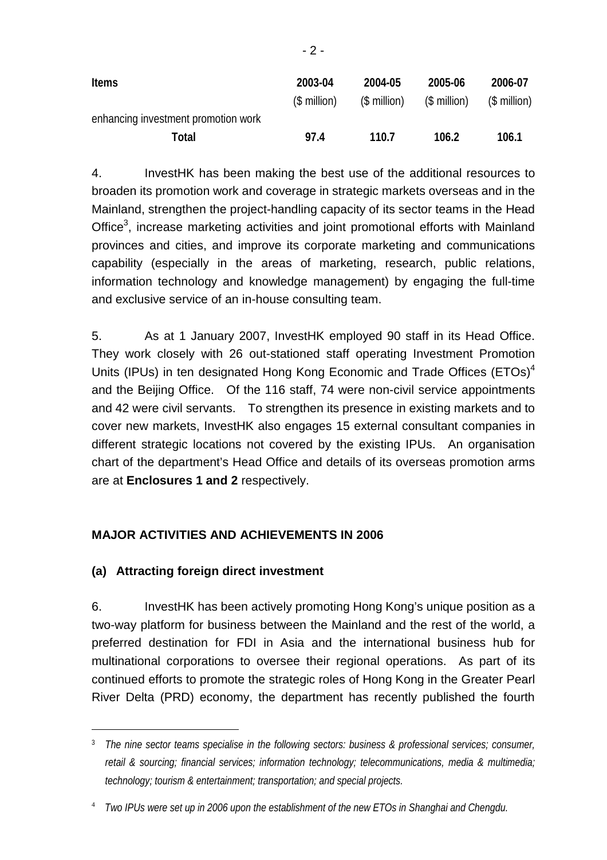| <b>Items</b>                        | 2003-04<br>(\$ million) | 2004-05<br>(\$ million) | 2005-06<br>$($$ million) | 2006-07<br>(\$ million) |
|-------------------------------------|-------------------------|-------------------------|--------------------------|-------------------------|
| enhancing investment promotion work |                         |                         |                          |                         |
| Total                               | 97.4                    | 110.7                   | 106.2                    | 106.1                   |

4. InvestHK has been making the best use of the additional resources to broaden its promotion work and coverage in strategic markets overseas and in the Mainland, strengthen the project-handling capacity of its sector teams in the Head Office<sup>3</sup>, increase marketing activities and joint promotional efforts with Mainland provinces and cities, and improve its corporate marketing and communications capability (especially in the areas of marketing, research, public relations, information technology and knowledge management) by engaging the full-time and exclusive service of an in-house consulting team.

5. As at 1 January 2007, InvestHK employed 90 staff in its Head Office. They work closely with 26 out-stationed staff operating Investment Promotion Units (IPUs) in ten designated Hong Kong Economic and Trade Offices (ETOs)<sup>4</sup> and the Beijing Office. Of the 116 staff, 74 were non-civil service appointments and 42 were civil servants. To strengthen its presence in existing markets and to cover new markets, InvestHK also engages 15 external consultant companies in different strategic locations not covered by the existing IPUs. An organisation chart of the department's Head Office and details of its overseas promotion arms are at **Enclosures 1 and 2** respectively.

# **MAJOR ACTIVITIES AND ACHIEVEMENTS IN 2006**

### **(a) Attracting foreign direct investment**

l

6. InvestHK has been actively promoting Hong Kong's unique position as a two-way platform for business between the Mainland and the rest of the world, a preferred destination for FDI in Asia and the international business hub for multinational corporations to oversee their regional operations. As part of its continued efforts to promote the strategic roles of Hong Kong in the Greater Pearl River Delta (PRD) economy, the department has recently published the fourth

- 2 -

<span id="page-1-0"></span><sup>3</sup> *The nine sector teams specialise in the following sectors: business & professional services; consumer, retail & sourcing; financial services; information technology; telecommunications, media & multimedia; technology; tourism & entertainment; transportation; and special projects.* 

<span id="page-1-1"></span><sup>4</sup> *Two IPUs were set up in 2006 upon the establishment of the new ETOs in Shanghai and Chengdu.*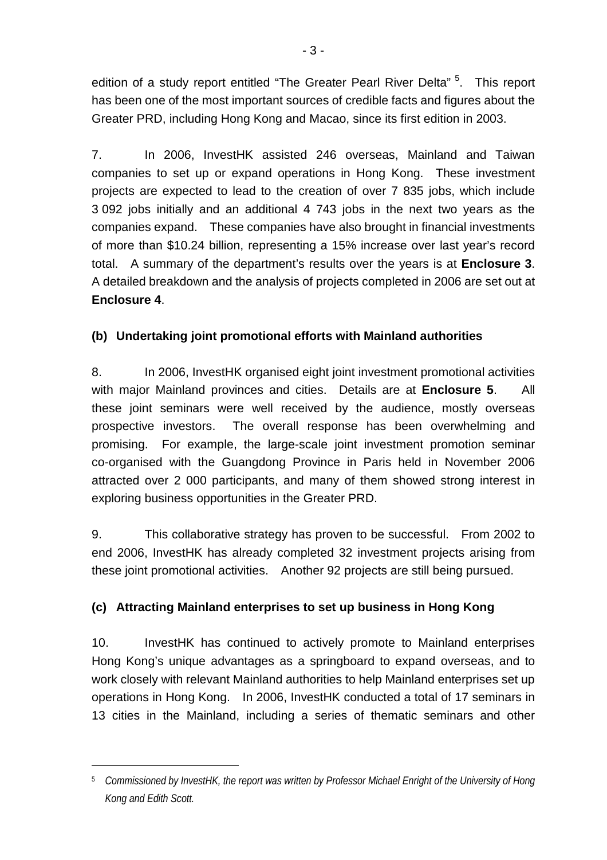edition of a study report entitled "The Greater Pearl River Delta" <sup>5</sup>. This report has been one of the most important sources of credible facts and figures about the Greater PRD, including Hong Kong and Macao, since its first edition in 2003.

7. In 2006, InvestHK assisted 246 overseas, Mainland and Taiwan companies to set up or expand operations in Hong Kong. These investment projects are expected to lead to the creation of over 7 835 jobs, which include 3 092 jobs initially and an additional 4 743 jobs in the next two years as the companies expand. These companies have also brought in financial investments of more than \$10.24 billion, representing a 15% increase over last year's record total. A summary of the department's results over the years is at **Enclosure 3**. A detailed breakdown and the analysis of projects completed in 2006 are set out at **Enclosure 4**.

# **(b) Undertaking joint promotional efforts with Mainland authorities**

8. In 2006, InvestHK organised eight joint investment promotional activities with major Mainland provinces and cities. Details are at **Enclosure 5**. All these joint seminars were well received by the audience, mostly overseas prospective investors. The overall response has been overwhelming and promising. For example, the large-scale joint investment promotion seminar co-organised with the Guangdong Province in Paris held in November 2006 attracted over 2 000 participants, and many of them showed strong interest in exploring business opportunities in the Greater PRD.

9. This collaborative strategy has proven to be successful. From 2002 to end 2006, InvestHK has already completed 32 investment projects arising from these joint promotional activities. Another 92 projects are still being pursued.

# **(c) Attracting Mainland enterprises to set up business in Hong Kong**

10. InvestHK has continued to actively promote to Mainland enterprises Hong Kong's unique advantages as a springboard to expand overseas, and to work closely with relevant Mainland authorities to help Mainland enterprises set up operations in Hong Kong. In 2006, InvestHK conducted a total of 17 seminars in 13 cities in the Mainland, including a series of thematic seminars and other

 $\overline{a}$ 

<span id="page-2-0"></span><sup>5</sup> *Commissioned by InvestHK, the report was written by Professor Michael Enright of the University of Hong Kong and Edith Scott.*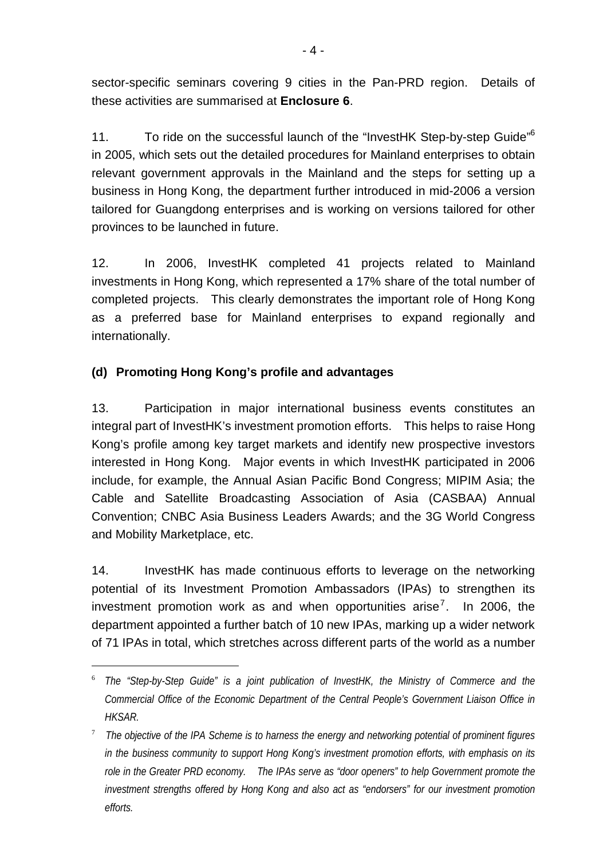sector-specific seminars covering 9 cities in the Pan-PRD region. Details of these activities are summarised at **Enclosure 6**.

11. To ride on the successful launch of the "InvestHK Step-by-step Guide"<sup>6</sup> in 2005, which sets out the detailed procedures for Mainland enterprises to obtain relevant government approvals in the Mainland and the steps for setting up a business in Hong Kong, the department further introduced in mid-2006 a version tailored for Guangdong enterprises and is working on versions tailored for other provinces to be launched in future.

12. In 2006, InvestHK completed 41 projects related to Mainland investments in Hong Kong, which represented a 17% share of the total number of completed projects. This clearly demonstrates the important role of Hong Kong as a preferred base for Mainland enterprises to expand regionally and internationally.

# **(d) Promoting Hong Kong's profile and advantages**

l

13. Participation in major international business events constitutes an integral part of InvestHK's investment promotion efforts. This helps to raise Hong Kong's profile among key target markets and identify new prospective investors interested in Hong Kong. Major events in which InvestHK participated in 2006 include, for example, the Annual Asian Pacific Bond Congress; MIPIM Asia; the Cable and Satellite Broadcasting Association of Asia (CASBAA) Annual Convention; CNBC Asia Business Leaders Awards; and the 3G World Congress and Mobility Marketplace, etc.

14. InvestHK has made continuous efforts to leverage on the networking potential of its Investment Promotion Ambassadors (IPAs) to strengthen its investment promotion work as and when opportunities arise<sup>[7](#page-3-1)</sup>. In 2006, the department appointed a further batch of 10 new IPAs, marking up a wider network of 71 IPAs in total, which stretches across different parts of the world as a number

<span id="page-3-0"></span><sup>6</sup> *The "Step-by-Step Guide" is a joint publication of InvestHK, the Ministry of Commerce and the Commercial Office of the Economic Department of the Central People's Government Liaison Office in HKSAR.*

<span id="page-3-1"></span><sup>7</sup> *The objective of the IPA Scheme is to harness the energy and networking potential of prominent figures in the business community to support Hong Kong's investment promotion efforts, with emphasis on its role in the Greater PRD economy. The IPAs serve as "door openers" to help Government promote the investment strengths offered by Hong Kong and also act as "endorsers" for our investment promotion efforts.*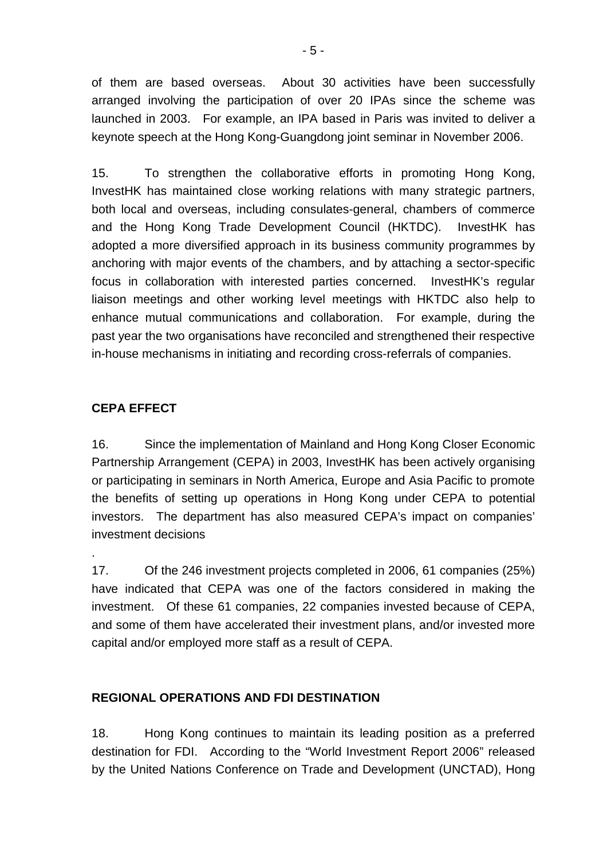of them are based overseas. About 30 activities have been successfully arranged involving the participation of over 20 IPAs since the scheme was launched in 2003. For example, an IPA based in Paris was invited to deliver a keynote speech at the Hong Kong-Guangdong joint seminar in November 2006.

15. To strengthen the collaborative efforts in promoting Hong Kong, InvestHK has maintained close working relations with many strategic partners, both local and overseas, including consulates-general, chambers of commerce and the Hong Kong Trade Development Council (HKTDC). InvestHK has adopted a more diversified approach in its business community programmes by anchoring with major events of the chambers, and by attaching a sector-specific focus in collaboration with interested parties concerned. InvestHK's regular liaison meetings and other working level meetings with HKTDC also help to enhance mutual communications and collaboration. For example, during the past year the two organisations have reconciled and strengthened their respective in-house mechanisms in initiating and recording cross-referrals of companies.

### **CEPA EFFECT**

.

16. Since the implementation of Mainland and Hong Kong Closer Economic Partnership Arrangement (CEPA) in 2003, InvestHK has been actively organising or participating in seminars in North America, Europe and Asia Pacific to promote the benefits of setting up operations in Hong Kong under CEPA to potential investors. The department has also measured CEPA's impact on companies' investment decisions

17. Of the 246 investment projects completed in 2006, 61 companies (25%) have indicated that CEPA was one of the factors considered in making the investment. Of these 61 companies, 22 companies invested because of CEPA, and some of them have accelerated their investment plans, and/or invested more capital and/or employed more staff as a result of CEPA.

### **REGIONAL OPERATIONS AND FDI DESTINATION**

18. Hong Kong continues to maintain its leading position as a preferred destination for FDI. According to the "World Investment Report 2006" released by the United Nations Conference on Trade and Development (UNCTAD), Hong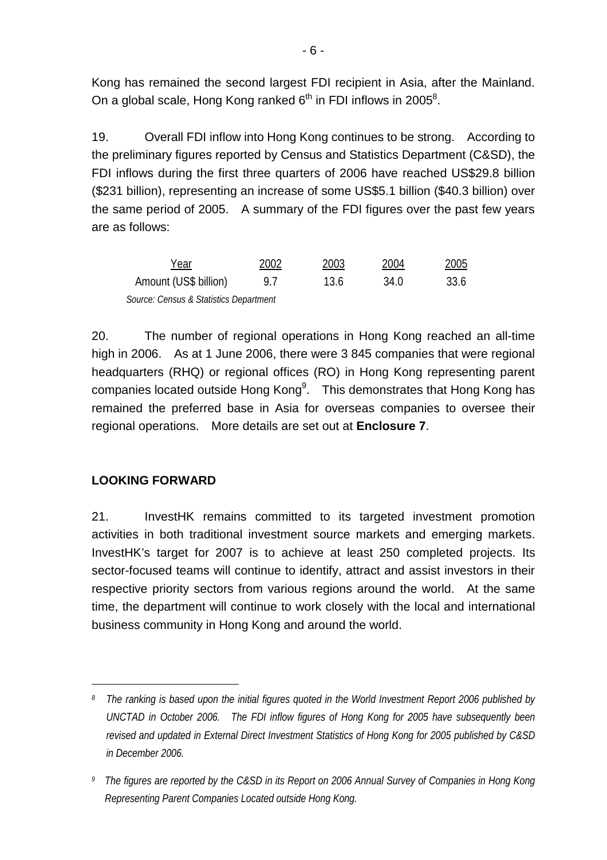Kong has remained the second largest FDI recipient in Asia, after the Mainland. On a global scale, Hong Kong ranked  $6<sup>th</sup>$  in FDI inflows in 2005<sup>8</sup>.

19. Overall FDI inflow into Hong Kong continues to be strong. According to the preliminary figures reported by Census and Statistics Department (C&SD), the FDI inflows during the first three quarters of 2006 have reached US\$29.8 billion (\$231 billion), representing an increase of some US\$5.1 billion (\$40.3 billion) over the same period of 2005. A summary of the FDI figures over the past few years are as follows:

| Year                                   | 2002 | 2003 | 2004 | 2005 |
|----------------------------------------|------|------|------|------|
| Amount (US\$ billion)                  | 97   | 13.6 | 34.0 | 33.6 |
| Source: Census & Statistics Department |      |      |      |      |

20. The number of regional operations in Hong Kong reached an all-time high in 2006. As at 1 June 2006, there were 3 845 companies that were regional headquarters (RHQ) or regional offices (RO) in Hong Kong representing parent companies located outside Hong Kong $9$ . This demonstrates that Hong Kong has remained the preferred base in Asia for overseas companies to oversee their regional operations. More details are set out at **Enclosure 7**.

### **LOOKING FORWARD**

l

21. InvestHK remains committed to its targeted investment promotion activities in both traditional investment source markets and emerging markets. InvestHK's target for 2007 is to achieve at least 250 completed projects. Its sector-focused teams will continue to identify, attract and assist investors in their respective priority sectors from various regions around the world. At the same time, the department will continue to work closely with the local and international business community in Hong Kong and around the world.

<span id="page-5-0"></span>*<sup>8</sup> The ranking is based upon the initial figures quoted in the World Investment Report 2006 published by UNCTAD in October 2006. The FDI inflow figures of Hong Kong for 2005 have subsequently been revised and updated in External Direct Investment Statistics of Hong Kong for 2005 published by C&SD in December 2006.* 

<span id="page-5-1"></span>*<sup>9</sup> The figures are reported by the C&SD in its Report on 2006 Annual Survey of Companies in Hong Kong Representing Parent Companies Located outside Hong Kong.*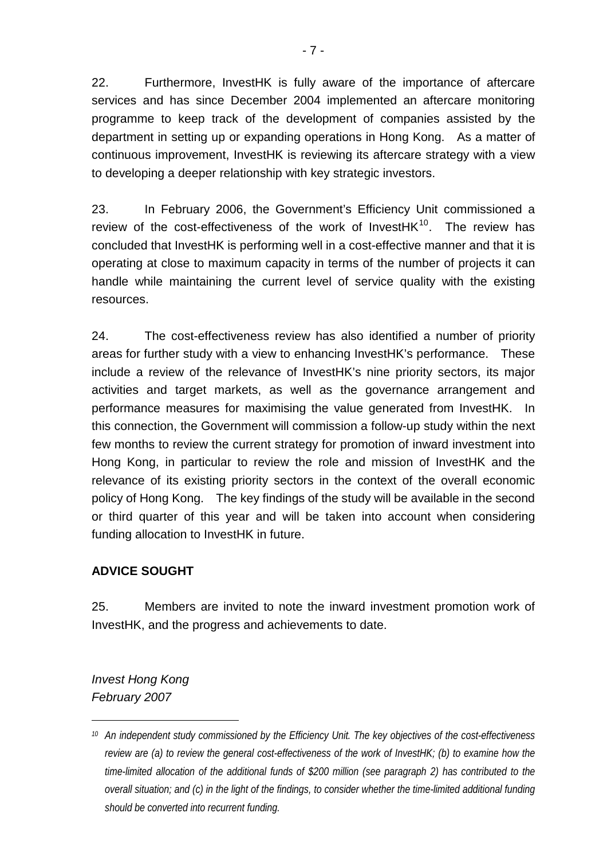22. Furthermore, InvestHK is fully aware of the importance of aftercare services and has since December 2004 implemented an aftercare monitoring programme to keep track of the development of companies assisted by the department in setting up or expanding operations in Hong Kong. As a matter of continuous improvement, InvestHK is reviewing its aftercare strategy with a view to developing a deeper relationship with key strategic investors.

23. In February 2006, the Government's Efficiency Unit commissioned a review of the cost-effectiveness of the work of Invest $HK^{10}$ . The review has concluded that InvestHK is performing well in a cost-effective manner and that it is operating at close to maximum capacity in terms of the number of projects it can handle while maintaining the current level of service quality with the existing resources.

24. The cost-effectiveness review has also identified a number of priority areas for further study with a view to enhancing InvestHK's performance. These include a review of the relevance of InvestHK's nine priority sectors, its major activities and target markets, as well as the governance arrangement and performance measures for maximising the value generated from InvestHK. In this connection, the Government will commission a follow-up study within the next few months to review the current strategy for promotion of inward investment into Hong Kong, in particular to review the role and mission of InvestHK and the relevance of its existing priority sectors in the context of the overall economic policy of Hong Kong. The key findings of the study will be available in the second or third quarter of this year and will be taken into account when considering funding allocation to InvestHK in future.

# **ADVICE SOUGHT**

25. Members are invited to note the inward investment promotion work of InvestHK, and the progress and achievements to date.

*Invest Hong Kong February 2007* 

l

<span id="page-6-0"></span>*<sup>10</sup> An independent study commissioned by the Efficiency Unit. The key objectives of the cost-effectiveness review are (a) to review the general cost-effectiveness of the work of InvestHK; (b) to examine how the time-limited allocation of the additional funds of \$200 million (see paragraph 2) has contributed to the overall situation; and (c) in the light of the findings, to consider whether the time-limited additional funding should be converted into recurrent funding.*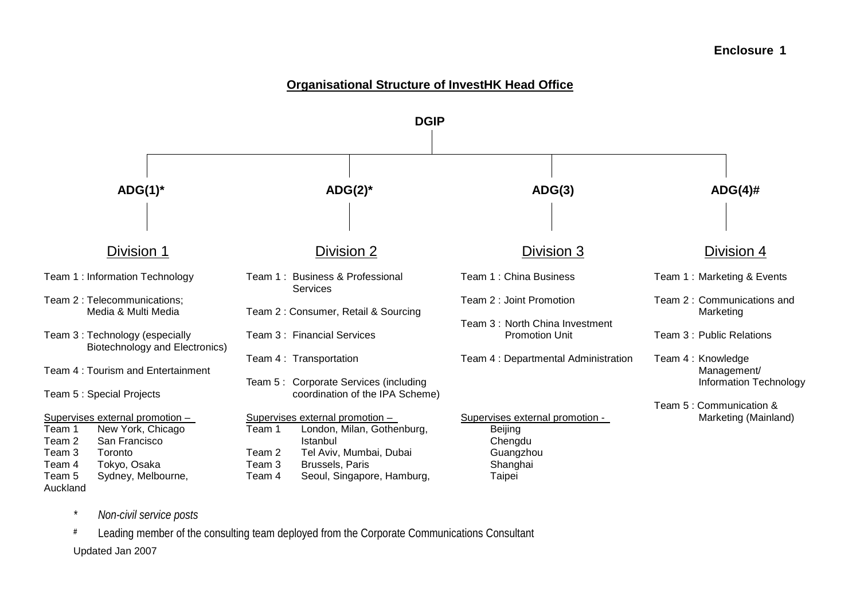#### **Organisational Structure of InvestHK Head Office**



*\* Non-civil service posts* 

**#** Leading member of the consulting team deployed from the Corporate Communications Consultant Updated Jan 2007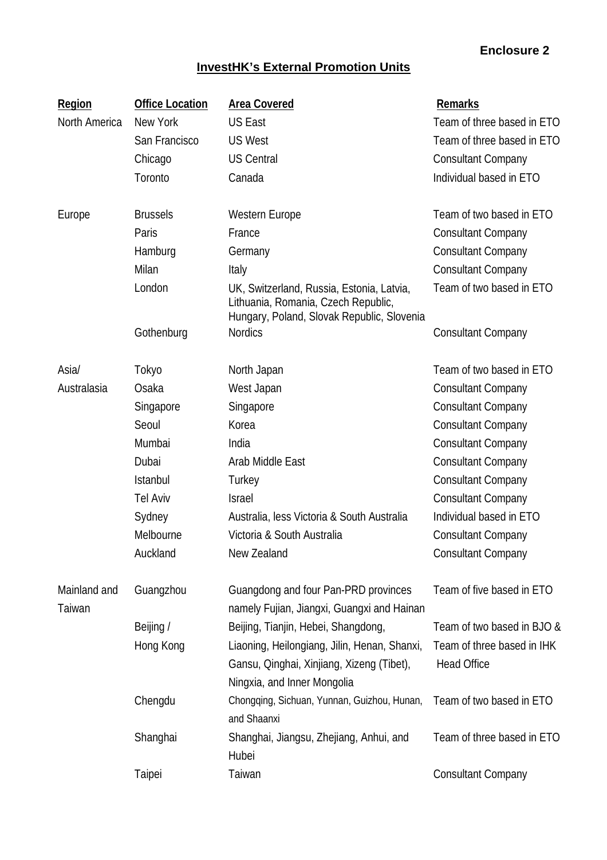# **InvestHK's External Promotion Units**

| <b>Region</b>          | <b>Office Location</b> | <b>Area Covered</b>                                                                                                            | <b>Remarks</b>                                   |
|------------------------|------------------------|--------------------------------------------------------------------------------------------------------------------------------|--------------------------------------------------|
| North America          | New York               | <b>US East</b>                                                                                                                 | Team of three based in ETO                       |
|                        | San Francisco          | <b>US West</b>                                                                                                                 | Team of three based in ETO                       |
|                        | Chicago                | <b>US Central</b>                                                                                                              | <b>Consultant Company</b>                        |
|                        | Toronto                | Canada                                                                                                                         | Individual based in ETO                          |
| Europe                 | <b>Brussels</b>        | Western Europe                                                                                                                 | Team of two based in ETO                         |
|                        | Paris                  | France                                                                                                                         | <b>Consultant Company</b>                        |
|                        | Hamburg                | Germany                                                                                                                        | <b>Consultant Company</b>                        |
|                        | Milan                  | Italy                                                                                                                          | <b>Consultant Company</b>                        |
|                        | London                 | UK, Switzerland, Russia, Estonia, Latvia,<br>Lithuania, Romania, Czech Republic,<br>Hungary, Poland, Slovak Republic, Slovenia | Team of two based in ETO                         |
|                        | Gothenburg             | <b>Nordics</b>                                                                                                                 | <b>Consultant Company</b>                        |
| Asia/                  | Tokyo                  | North Japan                                                                                                                    | Team of two based in ETO                         |
| Australasia            | Osaka                  | West Japan                                                                                                                     | <b>Consultant Company</b>                        |
|                        | Singapore              | Singapore                                                                                                                      | <b>Consultant Company</b>                        |
|                        | Seoul                  | Korea                                                                                                                          | <b>Consultant Company</b>                        |
|                        | Mumbai                 | India                                                                                                                          | <b>Consultant Company</b>                        |
|                        | Dubai                  | Arab Middle East                                                                                                               | <b>Consultant Company</b>                        |
|                        | <b>Istanbul</b>        | Turkey                                                                                                                         | <b>Consultant Company</b>                        |
|                        | <b>Tel Aviv</b>        | <b>Israel</b>                                                                                                                  | <b>Consultant Company</b>                        |
|                        | Sydney                 | Australia, less Victoria & South Australia                                                                                     | Individual based in ETO                          |
|                        | Melbourne              | Victoria & South Australia                                                                                                     | <b>Consultant Company</b>                        |
|                        | Auckland               | New Zealand                                                                                                                    | <b>Consultant Company</b>                        |
| Mainland and<br>Taiwan | Guangzhou              | Guangdong and four Pan-PRD provinces<br>namely Fujian, Jiangxi, Guangxi and Hainan                                             | Team of five based in ETO                        |
|                        | Beijing /              | Beijing, Tianjin, Hebei, Shangdong,                                                                                            | Team of two based in BJO &                       |
|                        | Hong Kong              | Liaoning, Heilongiang, Jilin, Henan, Shanxi,<br>Gansu, Qinghai, Xinjiang, Xizeng (Tibet),<br>Ningxia, and Inner Mongolia       | Team of three based in IHK<br><b>Head Office</b> |
|                        | Chengdu                | Chongqing, Sichuan, Yunnan, Guizhou, Hunan,<br>and Shaanxi                                                                     | Team of two based in ETO                         |
|                        | Shanghai               | Shanghai, Jiangsu, Zhejiang, Anhui, and<br>Hubei                                                                               | Team of three based in ETO                       |
|                        | Taipei                 | Taiwan                                                                                                                         | <b>Consultant Company</b>                        |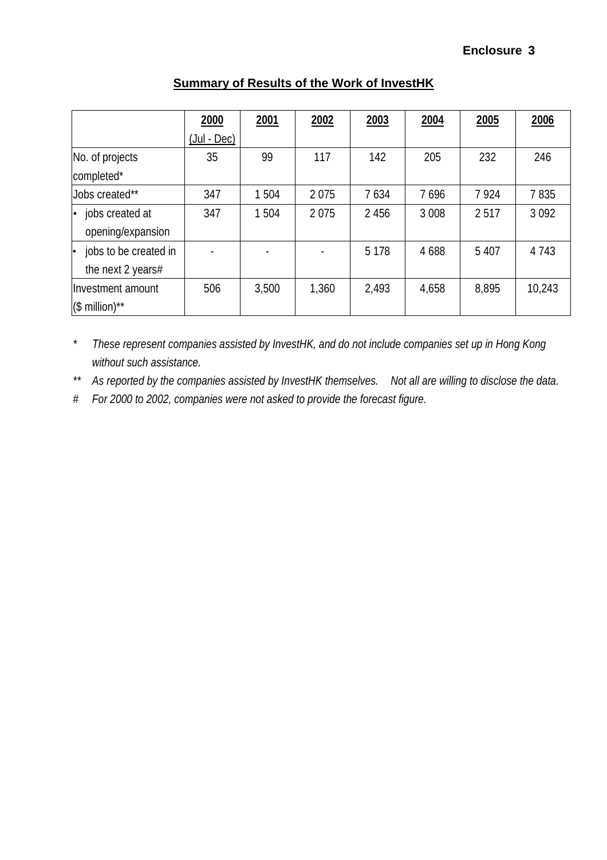|                              | 2000              | 2001  | 2002  | 2003    | 2004    | 2005    | 2006    |
|------------------------------|-------------------|-------|-------|---------|---------|---------|---------|
|                              | $($ Jul - Dec $)$ |       |       |         |         |         |         |
| No. of projects              | 35                | 99    | 117   | 142     | 205     | 232     | 246     |
| completed*                   |                   |       |       |         |         |         |         |
| Jobs created**               | 347               | 1504  | 2075  | 7634    | 7696    | 7924    | 7835    |
| jobs created at<br>$\bullet$ | 347               | 1504  | 2075  | 2 4 5 6 | 3 0 0 8 | 2517    | 3 0 9 2 |
| opening/expansion            |                   |       |       |         |         |         |         |
| jobs to be created in        |                   |       |       | 5 1 7 8 | 4 6 8 8 | 5 4 0 7 | 4 7 4 3 |
| the next 2 years#            |                   |       |       |         |         |         |         |
| Investment amount            | 506               | 3,500 | 1,360 | 2,493   | 4,658   | 8,895   | 10,243  |
| $($$ million)**              |                   |       |       |         |         |         |         |

### **Summary of Results of the Work of InvestHK**

*\* These represent companies assisted by InvestHK, and do not include companies set up in Hong Kong without such assistance.* 

*\*\* As reported by the companies assisted by InvestHK themselves. Not all are willing to disclose the data.* 

*# For 2000 to 2002, companies were not asked to provide the forecast figure.*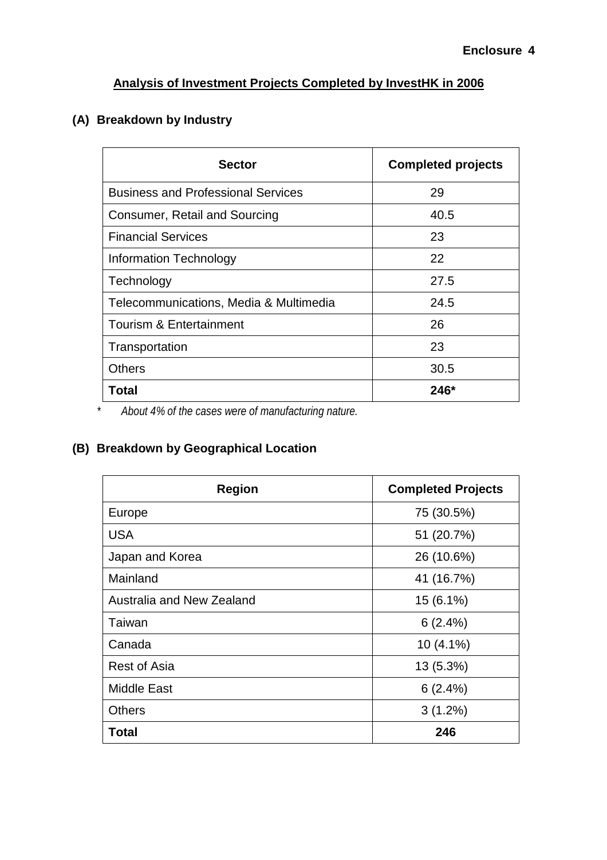# **Analysis of Investment Projects Completed by InvestHK in 2006**

# **(A) Breakdown by Industry**

| <b>Sector</b>                             | <b>Completed projects</b> |
|-------------------------------------------|---------------------------|
| <b>Business and Professional Services</b> | 29                        |
| Consumer, Retail and Sourcing             | 40.5                      |
| <b>Financial Services</b>                 | 23                        |
| Information Technology                    | 22                        |
| Technology                                | 27.5                      |
| Telecommunications, Media & Multimedia    | 24.5                      |
| <b>Tourism &amp; Entertainment</b>        | 26                        |
| Transportation                            | 23                        |
| <b>Others</b>                             | 30.5                      |
| Total                                     | 246*                      |

*\* About 4% of the cases were of manufacturing nature.* 

# **(B) Breakdown by Geographical Location**

| <b>Region</b>             | <b>Completed Projects</b> |
|---------------------------|---------------------------|
| Europe                    | 75 (30.5%)                |
| <b>USA</b>                | 51 (20.7%)                |
| Japan and Korea           | 26 (10.6%)                |
| Mainland                  | 41 (16.7%)                |
| Australia and New Zealand | 15 (6.1%)                 |
| Taiwan                    | 6(2.4%)                   |
| Canada                    | $10(4.1\%)$               |
| <b>Rest of Asia</b>       | 13 (5.3%)                 |
| <b>Middle East</b>        | 6(2.4%)                   |
| <b>Others</b>             | $3(1.2\%)$                |
| Total                     | 246                       |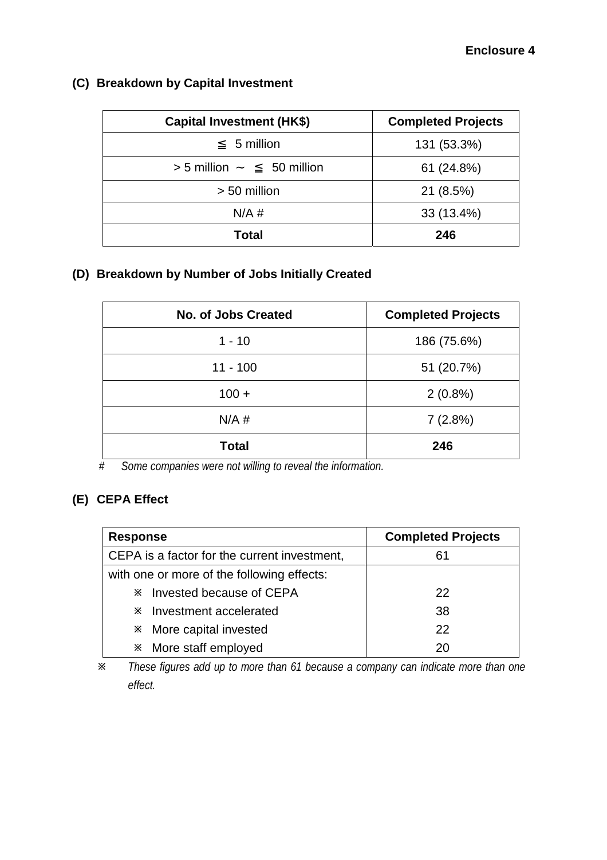| <b>Capital Investment (HK\$)</b> | <b>Completed Projects</b> |
|----------------------------------|---------------------------|
| 5 million                        | 131 (53.3%)               |
| 50 million<br>$> 5$ million      | 61 (24.8%)                |
| > 50 million                     | 21 (8.5%)                 |
| N/A#                             | 33 (13.4%)                |
| Total                            | 246                       |

# **(C) Breakdown by Capital Investment**

### **(D) Breakdown by Number of Jobs Initially Created**

| <b>No. of Jobs Created</b> | <b>Completed Projects</b> |
|----------------------------|---------------------------|
| $1 - 10$                   | 186 (75.6%)               |
| $11 - 100$                 | 51 (20.7%)                |
| $100 +$                    | $2(0.8\%)$                |
| $N/A$ #                    | 7(2.8%)                   |
| <b>Total</b>               | 246                       |

*# Some companies were not willing to reveal the information.*

# **(E) CEPA Effect**

| <b>Response</b>                              | <b>Completed Projects</b> |
|----------------------------------------------|---------------------------|
| CEPA is a factor for the current investment, | 61                        |
| with one or more of the following effects:   |                           |
| <b>EX</b> Invested because of CEPA           | 22                        |
| <b>EX</b> Investment accelerated             | 38                        |
| <b>X</b> More capital invested               | 22                        |
| * More staff employed                        | 20                        |

Ú *These figures add up to more than 61 because a company can indicate more than one effect.*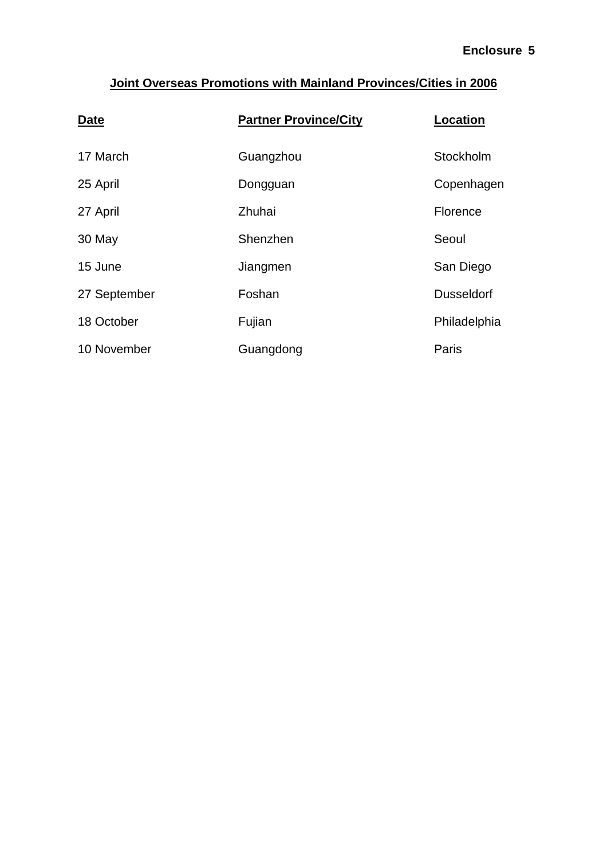# **Joint Overseas Promotions with Mainland Provinces/Cities in 2006**

| <b>Date</b>  | <b>Partner Province/City</b> | <b>Location</b>   |
|--------------|------------------------------|-------------------|
| 17 March     | Guangzhou                    | Stockholm         |
| 25 April     | Dongguan                     | Copenhagen        |
| 27 April     | Zhuhai                       | Florence          |
| 30 May       | Shenzhen                     | Seoul             |
| 15 June      | Jiangmen                     | San Diego         |
| 27 September | Foshan                       | <b>Dusseldorf</b> |
| 18 October   | Fujian                       | Philadelphia      |
| 10 November  | Guangdong                    | Paris             |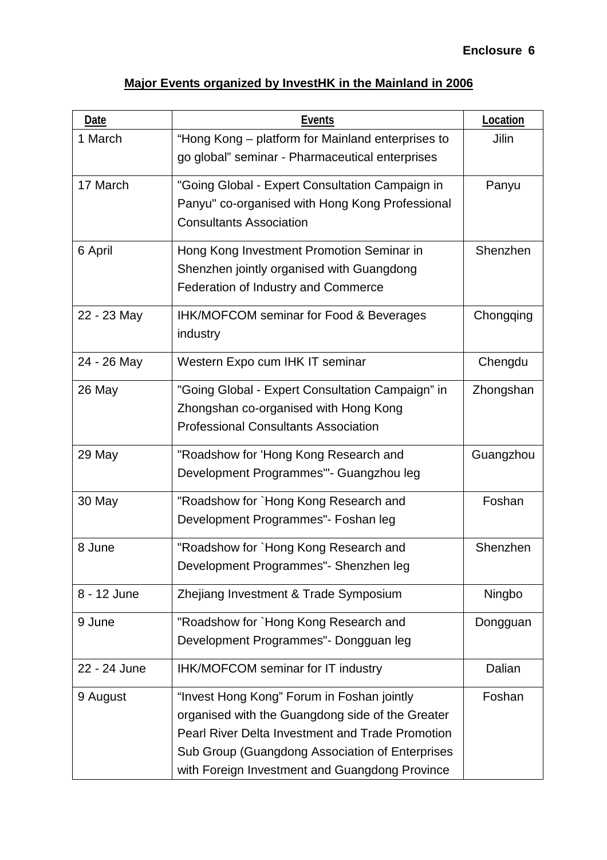# **Major Events organized by InvestHK in the Mainland in 2006**

| Date         | <b>Events</b>                                                                                                                                                                                                                                                  | Location  |
|--------------|----------------------------------------------------------------------------------------------------------------------------------------------------------------------------------------------------------------------------------------------------------------|-----------|
| 1 March      | "Hong Kong – platform for Mainland enterprises to<br>go global" seminar - Pharmaceutical enterprises                                                                                                                                                           | Jilin     |
| 17 March     | "Going Global - Expert Consultation Campaign in<br>Panyu" co-organised with Hong Kong Professional<br><b>Consultants Association</b>                                                                                                                           | Panyu     |
| 6 April      | Hong Kong Investment Promotion Seminar in<br>Shenzhen jointly organised with Guangdong<br>Federation of Industry and Commerce                                                                                                                                  | Shenzhen  |
| 22 - 23 May  | <b>IHK/MOFCOM seminar for Food &amp; Beverages</b><br>industry                                                                                                                                                                                                 | Chongqing |
| 24 - 26 May  | Western Expo cum IHK IT seminar                                                                                                                                                                                                                                | Chengdu   |
| 26 May       | "Going Global - Expert Consultation Campaign" in<br>Zhongshan co-organised with Hong Kong<br><b>Professional Consultants Association</b>                                                                                                                       | Zhongshan |
| 29 May       | "Roadshow for 'Hong Kong Research and<br>Development Programmes"- Guangzhou leg                                                                                                                                                                                | Guangzhou |
| 30 May       | "Roadshow for `Hong Kong Research and<br>Development Programmes"- Foshan leg                                                                                                                                                                                   | Foshan    |
| 8 June       | "Roadshow for `Hong Kong Research and<br>Development Programmes"- Shenzhen leg                                                                                                                                                                                 | Shenzhen  |
| 8 - 12 June  | Zhejiang Investment & Trade Symposium                                                                                                                                                                                                                          | Ningbo    |
| 9 June       | "Roadshow for `Hong Kong Research and<br>Development Programmes" - Dongguan leg                                                                                                                                                                                | Dongguan  |
| 22 - 24 June | IHK/MOFCOM seminar for IT industry                                                                                                                                                                                                                             | Dalian    |
| 9 August     | "Invest Hong Kong" Forum in Foshan jointly<br>organised with the Guangdong side of the Greater<br><b>Pearl River Delta Investment and Trade Promotion</b><br>Sub Group (Guangdong Association of Enterprises<br>with Foreign Investment and Guangdong Province | Foshan    |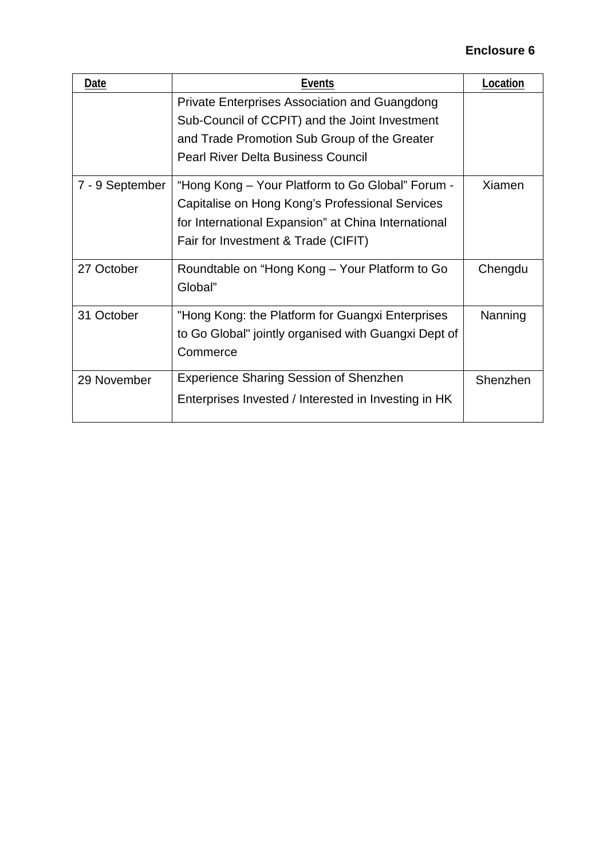| Date            | Events                                               | Location |
|-----------------|------------------------------------------------------|----------|
|                 | Private Enterprises Association and Guangdong        |          |
|                 | Sub-Council of CCPIT) and the Joint Investment       |          |
|                 | and Trade Promotion Sub Group of the Greater         |          |
|                 | <b>Pearl River Delta Business Council</b>            |          |
| 7 - 9 September | Xiamen                                               |          |
|                 | Capitalise on Hong Kong's Professional Services      |          |
|                 | for International Expansion" at China International  |          |
|                 | Fair for Investment & Trade (CIFIT)                  |          |
| 27 October      | Roundtable on "Hong Kong – Your Platform to Go       | Chengdu  |
|                 | Global"                                              |          |
| 31 October      | "Hong Kong: the Platform for Guangxi Enterprises     | Nanning  |
|                 | to Go Global" jointly organised with Guangxi Dept of |          |
|                 | Commerce                                             |          |
| 29 November     | <b>Experience Sharing Session of Shenzhen</b>        | Shenzhen |
|                 | Enterprises Invested / Interested in Investing in HK |          |
|                 |                                                      |          |